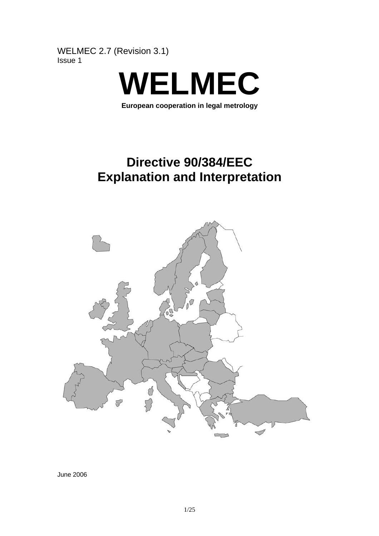WELMEC 2.7 (Revision 3.1) Issue 1



**European cooperation in legal metrology** 

# **Directive 90/384/EEC Explanation and Interpretation**



June 2006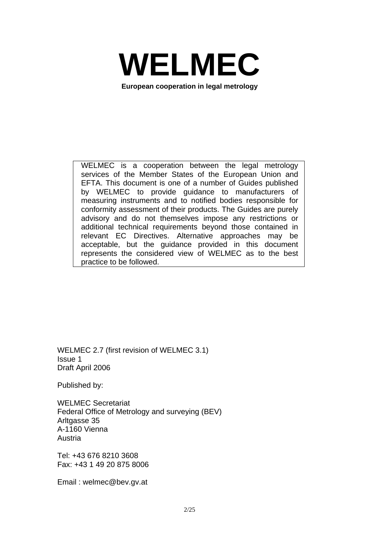

**European cooperation in legal metrology** 

WELMEC is a cooperation between the legal metrology services of the Member States of the European Union and EFTA. This document is one of a number of Guides published by WELMEC to provide guidance to manufacturers of measuring instruments and to notified bodies responsible for conformity assessment of their products. The Guides are purely advisory and do not themselves impose any restrictions or additional technical requirements beyond those contained in relevant EC Directives. Alternative approaches may be acceptable, but the guidance provided in this document represents the considered view of WELMEC as to the best practice to be followed.

WELMEC 2.7 (first revision of WELMEC 3.1) Issue 1 Draft April 2006

Published by:

WELMEC Secretariat Federal Office of Metrology and surveying (BEV) Arltgasse 35 A-1160 Vienna Austria

Tel: +43 676 8210 3608 Fax: +43 1 49 20 875 8006

Email : welmec@bev.gv.at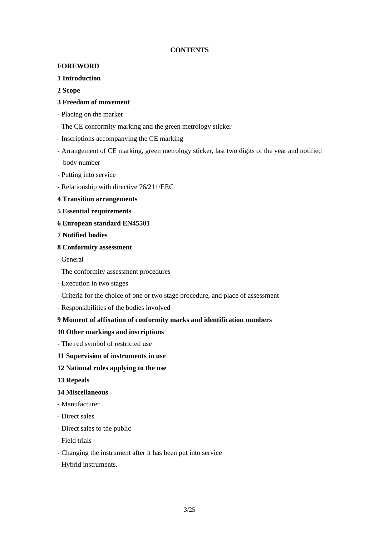#### **CONTENTS**

#### **FOREWORD**

#### **1 Introduction**

#### **2 Scope**

#### **3 Freedom of movement**

- Placing on the market
- The CE conformity marking and the green metrology sticker
- Inscriptions accompanying the CE marking
- Arrangement of CE marking, green metrology sticker, last two digits of the year and notified body number
- Putting into service
- Relationship with directive 76/211/EEC
- **4 Transition arrangements**
- **5 Essential requirements**
- **6 European standard EN45501**
- **7 Notified bodies**
- **8 Conformity assessment**
- General
- The conformity assessment procedures
- Execution in two stages
- Criteria for the choice of one or two stage procedure, and place of assessment
- Responsibilities of the bodies involved

#### **9 Moment of affixation of conformity marks and identification numbers**

#### **10 Other markings and inscriptions**

- The red symbol of restricted use

#### **11 Supervision of instruments in use**

#### **12 National rules applying to the use**

#### **13 Repeals**

#### **14 Miscellaneous**

- Manufacturer
- Direct sales
- Direct sales to the public
- Field trials
- Changing the instrument after it has been put into service
- Hybrid instruments.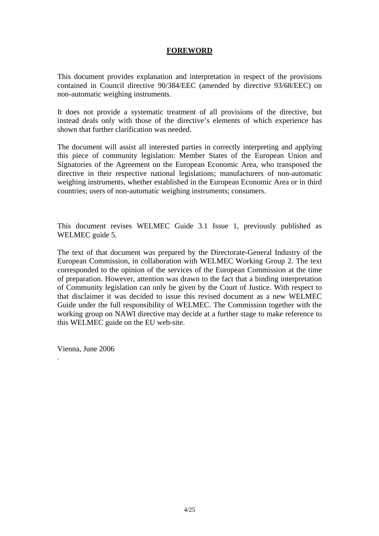## **FOREWORD**

This document provides explanation and interpretation in respect of the provisions contained in Council directive 90/384/EEC (amended by directive 93/68/EEC) on non-automatic weighing instruments.

It does not provide a systematic treatment of all provisions of the directive, but instead deals only with those of the directive's elements of which experience has shown that further clarification was needed.

The document will assist all interested parties in correctly interpreting and applying this piece of community legislation: Member States of the European Union and Signatories of the Agreement on the European Economic Area, who transposed the directive in their respective national legislations; manufacturers of non-automatic weighing instruments, whether established in the European Economic Area or in third countries; users of non-automatic weighing instruments; consumers.

This document revises WELMEC Guide 3.1 Issue 1, previously published as WELMEC guide 5.

The text of that document was prepared by the Directorate-General Industry of the European Commission, in collaboration with WELMEC Working Group 2. The text corresponded to the opinion of the services of the European Commission at the time of preparation. However, attention was drawn to the fact that a binding interpretation of Community legislation can only be given by the Court of Justice. With respect to that disclaimer it was decided to issue this revised document as a new WELMEC Guide under the full responsibility of WELMEC. The Commission together with the working group on NAWI directive may decide at a further stage to make reference to this WELMEC guide on the EU web-site.

Vienna, June 2006

.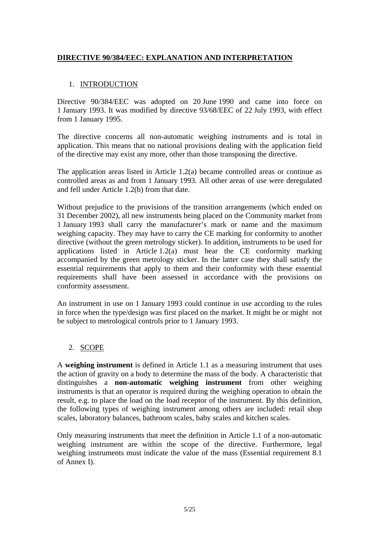# **DIRECTIVE 90/384/EEC: EXPLANATION AND INTERPRETATION**

## 1. INTRODUCTION

Directive 90/384/EEC was adopted on 20 June 1990 and came into force on 1 January 1993. It was modified by directive 93/68/EEC of 22 July 1993, with effect from 1 January 1995.

The directive concerns all non-automatic weighing instruments and is total in application. This means that no national provisions dealing with the application field of the directive may exist any more, other than those transposing the directive.

The application areas listed in Article 1.2(a) became controlled areas or continue as controlled areas as and from 1 January 1993. All other areas of use were deregulated and fell under Article 1.2(b) from that date.

Without prejudice to the provisions of the transition arrangements (which ended on 31 December 2002), all new instruments being placed on the Community market from 1 January 1993 shall carry the manufacturer's mark or name and the maximum weighing capacity. They may have to carry the CE marking for conformity to another directive (without the green metrology sticker). In addition, instruments to be used for applications listed in Article 1.2(a) must bear the CE conformity marking accompanied by the green metrology sticker. In the latter case they shall satisfy the essential requirements that apply to them and their conformity with these essential requirements shall have been assessed in accordance with the provisions on conformity assessment.

An instrument in use on 1 January 1993 could continue in use according to the rules in force when the type/design was first placed on the market. It might be or might not be subject to metrological controls prior to 1 January 1993.

# 2. SCOPE

A **weighing instrument** is defined in Article 1.1 as a measuring instrument that uses the action of gravity on a body to determine the mass of the body. A characteristic that distinguishes a **non-automatic weighing instrument** from other weighing instruments is that an operator is required during the weighing operation to obtain the result, e.g. to place the load on the load receptor of the instrument. By this definition, the following types of weighing instrument among others are included: retail shop scales, laboratory balances, bathroom scales, baby scales and kitchen scales.

Only measuring instruments that meet the definition in Article 1.1 of a non-automatic weighing instrument are within the scope of the directive. Furthermore, legal weighing instruments must indicate the value of the mass (Essential requirement 8.1 of Annex I).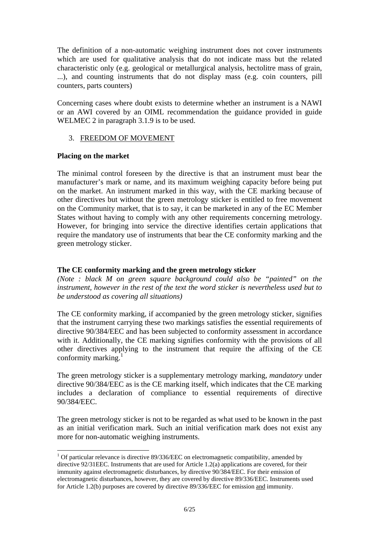The definition of a non-automatic weighing instrument does not cover instruments which are used for qualitative analysis that do not indicate mass but the related characteristic only (e.g. geological or metallurgical analysis, hectolitre mass of grain, ...), and counting instruments that do not display mass (e.g. coin counters, pill counters, parts counters)

Concerning cases where doubt exists to determine whether an instrument is a NAWI or an AWI covered by an OIML recommendation the guidance provided in guide WELMEC 2 in paragraph 3.1.9 is to be used.

## 3. FREEDOM OF MOVEMENT

## **Placing on the market**

l

The minimal control foreseen by the directive is that an instrument must bear the manufacturer's mark or name, and its maximum weighing capacity before being put on the market. An instrument marked in this way, with the CE marking because of other directives but without the green metrology sticker is entitled to free movement on the Community market, that is to say, it can be marketed in any of the EC Member States without having to comply with any other requirements concerning metrology. However, for bringing into service the directive identifies certain applications that require the mandatory use of instruments that bear the CE conformity marking and the green metrology sticker.

## **The CE conformity marking and the green metrology sticker**

*(Note : black M on green square background could also be "painted" on the instrument, however in the rest of the text the word sticker is nevertheless used but to be understood as covering all situations)*

The CE conformity marking, if accompanied by the green metrology sticker, signifies that the instrument carrying these two markings satisfies the essential requirements of directive 90/384/EEC and has been subjected to conformity assessment in accordance with it. Additionally, the CE marking signifies conformity with the provisions of all other directives applying to the instrument that require the affixing of the CE conformity marking. $\frac{1}{1}$ 

The green metrology sticker is a supplementary metrology marking, *mandatory* under directive 90/384/EEC as is the CE marking itself, which indicates that the CE marking includes a declaration of compliance to essential requirements of directive 90/384/EEC.

The green metrology sticker is not to be regarded as what used to be known in the past as an initial verification mark. Such an initial verification mark does not exist any more for non-automatic weighing instruments.

<sup>&</sup>lt;sup>1</sup> Of particular relevance is directive 89/336/EEC on electromagnetic compatibility, amended by directive 92/31EEC. Instruments that are used for Article 1.2(a) applications are covered, for their immunity against electromagnetic disturbances, by directive 90/384/EEC. For their emission of electromagnetic disturbances, however, they are covered by directive 89/336/EEC. Instruments used for Article 1.2(b) purposes are covered by directive 89/336/EEC for emission and immunity.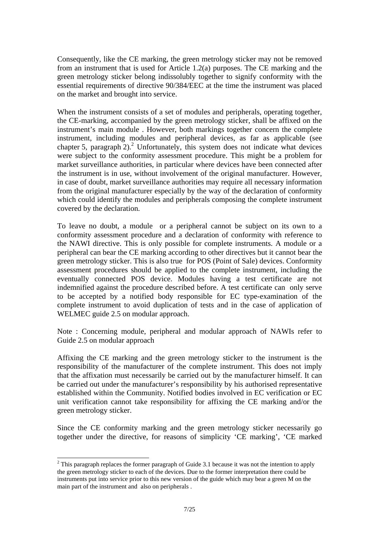Consequently, like the CE marking, the green metrology sticker may not be removed from an instrument that is used for Article 1.2(a) purposes. The CE marking and the green metrology sticker belong indissolubly together to signify conformity with the essential requirements of directive 90/384/EEC at the time the instrument was placed on the market and brought into service.

When the instrument consists of a set of modules and peripherals, operating together, the CE-marking, accompanied by the green metrology sticker, shall be affixed on the instrument's main module . However, both markings together concern the complete instrument, including modules and peripheral devices, as far as applicable (see chapter 5, paragraph  $2$ ).<sup>2</sup> Unfortunately, this system does not indicate what devices were subject to the conformity assessment procedure. This might be a problem for market surveillance authorities, in particular where devices have been connected after the instrument is in use, without involvement of the original manufacturer. However, in case of doubt, market surveillance authorities may require all necessary information from the original manufacturer especially by the way of the declaration of conformity which could identify the modules and peripherals composing the complete instrument covered by the declaration.

To leave no doubt, a module or a peripheral cannot be subject on its own to a conformity assessment procedure and a declaration of conformity with reference to the NAWI directive. This is only possible for complete instruments. A module or a peripheral can bear the CE marking according to other directives but it cannot bear the green metrology sticker. This is also true for POS (Point of Sale) devices. Conformity assessment procedures should be applied to the complete instrument, including the eventually connected POS device. Modules having a test certificate are not indemnified against the procedure described before. A test certificate can only serve to be accepted by a notified body responsible for EC type-examination of the complete instrument to avoid duplication of tests and in the case of application of WELMEC guide 2.5 on modular approach.

Note : Concerning module, peripheral and modular approach of NAWIs refer to Guide 2.5 on modular approach

Affixing the CE marking and the green metrology sticker to the instrument is the responsibility of the manufacturer of the complete instrument. This does not imply that the affixation must necessarily be carried out by the manufacturer himself. It can be carried out under the manufacturer's responsibility by his authorised representative established within the Community. Notified bodies involved in EC verification or EC unit verification cannot take responsibility for affixing the CE marking and/or the green metrology sticker.

Since the CE conformity marking and the green metrology sticker necessarily go together under the directive, for reasons of simplicity 'CE marking', 'CE marked

l

<sup>&</sup>lt;sup>2</sup> This paragraph replaces the former paragraph of Guide 3.1 because it was not the intention to apply the green metrology sticker to each of the devices. Due to the former interpretation there could be instruments put into service prior to this new version of the guide which may bear a green M on the main part of the instrument and also on peripherals .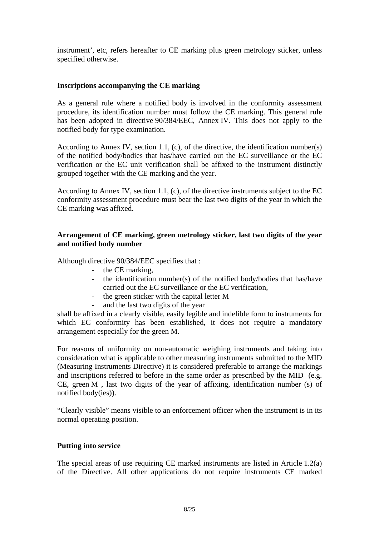instrument', etc, refers hereafter to CE marking plus green metrology sticker, unless specified otherwise.

### **Inscriptions accompanying the CE marking**

As a general rule where a notified body is involved in the conformity assessment procedure, its identification number must follow the CE marking. This general rule has been adopted in directive 90/384/EEC, Annex IV. This does not apply to the notified body for type examination.

According to Annex IV, section 1.1, (c), of the directive, the identification number(s) of the notified body/bodies that has/have carried out the EC surveillance or the EC verification or the EC unit verification shall be affixed to the instrument distinctly grouped together with the CE marking and the year.

According to Annex IV, section 1.1, (c), of the directive instruments subject to the EC conformity assessment procedure must bear the last two digits of the year in which the CE marking was affixed.

# **Arrangement of CE marking, green metrology sticker, last two digits of the year and notified body number**

Although directive 90/384/EEC specifies that :

- the CE marking,
- the identification number(s) of the notified body/bodies that has/have carried out the EC surveillance or the EC verification,
- the green sticker with the capital letter M
- and the last two digits of the year

shall be affixed in a clearly visible, easily legible and indelible form to instruments for which EC conformity has been established, it does not require a mandatory arrangement especially for the green M.

For reasons of uniformity on non-automatic weighing instruments and taking into consideration what is applicable to other measuring instruments submitted to the MID (Measuring Instruments Directive) it is considered preferable to arrange the markings and inscriptions referred to before in the same order as prescribed by the MID (e.g. CE, green M , last two digits of the year of affixing, identification number (s) of notified body(ies)).

"Clearly visible" means visible to an enforcement officer when the instrument is in its normal operating position.

#### **Putting into service**

The special areas of use requiring CE marked instruments are listed in Article 1.2(a) of the Directive. All other applications do not require instruments CE marked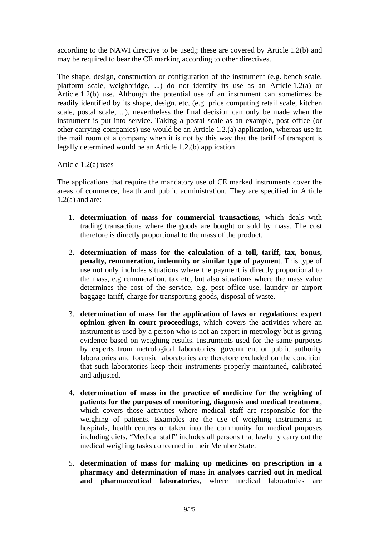according to the NAWI directive to be used,; these are covered by Article 1.2(b) and may be required to bear the CE marking according to other directives.

The shape, design, construction or configuration of the instrument (e.g. bench scale, platform scale, weighbridge, ...) do not identify its use as an Article 1.2(a) or Article 1.2(b) use. Although the potential use of an instrument can sometimes be readily identified by its shape, design, etc, (e.g. price computing retail scale, kitchen scale, postal scale, ...), nevertheless the final decision can only be made when the instrument is put into service. Taking a postal scale as an example, post office (or other carrying companies) use would be an Article 1.2.(a) application, whereas use in the mail room of a company when it is not by this way that the tariff of transport is legally determined would be an Article 1.2.(b) application.

# Article 1.2(a) uses

The applications that require the mandatory use of CE marked instruments cover the areas of commerce, health and public administration. They are specified in Article  $1.2(a)$  and are:

- 1. **determination of mass for commercial transaction**s, which deals with trading transactions where the goods are bought or sold by mass. The cost therefore is directly proportional to the mass of the product.
- 2. **determination of mass for the calculation of a toll, tariff, tax, bonus, penalty, remuneration, indemnity or similar type of paymen**t. This type of use not only includes situations where the payment is directly proportional to the mass, e.g remuneration, tax etc, but also situations where the mass value determines the cost of the service, e.g. post office use, laundry or airport baggage tariff, charge for transporting goods, disposal of waste.
- 3. **determination of mass for the application of laws or regulations; expert opinion given in court proceeding**s, which covers the activities where an instrument is used by a person who is not an expert in metrology but is giving evidence based on weighing results. Instruments used for the same purposes by experts from metrological laboratories, government or public authority laboratories and forensic laboratories are therefore excluded on the condition that such laboratories keep their instruments properly maintained, calibrated and adjusted.
- 4. **determination of mass in the practice of medicine for the weighing of patients for the purposes of monitoring, diagnosis and medical treatmen**t, which covers those activities where medical staff are responsible for the weighing of patients. Examples are the use of weighing instruments in hospitals, health centres or taken into the community for medical purposes including diets. "Medical staff" includes all persons that lawfully carry out the medical weighing tasks concerned in their Member State.
- 5. **determination of mass for making up medicines on prescription in a pharmacy and determination of mass in analyses carried out in medical and pharmaceutical laboratorie**s, where medical laboratories are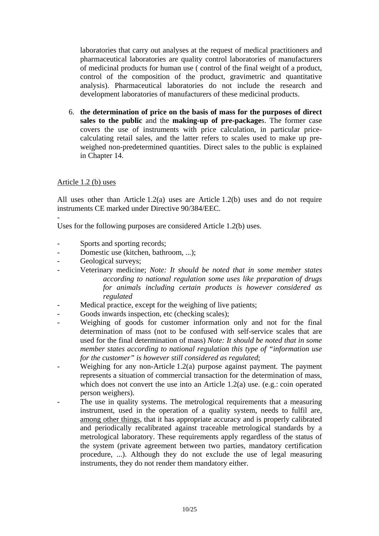laboratories that carry out analyses at the request of medical practitioners and pharmaceutical laboratories are quality control laboratories of manufacturers of medicinal products for human use ( control of the final weight of a product, control of the composition of the product, gravimetric and quantitative analysis). Pharmaceutical laboratories do not include the research and development laboratories of manufacturers of these medicinal products.

6. **the determination of price on the basis of mass for the purposes of direct sales to the public** and the **making-up of pre-package**s. The former case covers the use of instruments with price calculation, in particular pricecalculating retail sales, and the latter refers to scales used to make up preweighed non-predetermined quantities. Direct sales to the public is explained in Chapter 14.

#### Article 1.2 (b) uses

-

All uses other than Article 1.2(a) uses are Article 1.2(b) uses and do not require instruments CE marked under Directive 90/384/EEC.

Uses for the following purposes are considered Article 1.2(b) uses.

- Sports and sporting records;
- Domestic use (kitchen, bathroom, ...);
- Geological surveys;
- Veterinary medicine; *Note: It should be noted that in some member states according to national regulation some uses like preparation of drugs for animals including certain products is however considered as regulated*
- Medical practice, except for the weighing of live patients;
- Goods inwards inspection, etc (checking scales);
- Weighing of goods for customer information only and not for the final determination of mass (not to be confused with self-service scales that are used for the final determination of mass) *Note: It should be noted that in some member states according to national regulation this type of "information use for the customer" is however still considered as regulated*;
- Weighing for any non-Article  $1.2(a)$  purpose against payment. The payment represents a situation of commercial transaction for the determination of mass, which does not convert the use into an Article 1.2(a) use. (e.g.: coin operated person weighers).
- The use in quality systems. The metrological requirements that a measuring instrument, used in the operation of a quality system, needs to fulfil are, among other things, that it has appropriate accuracy and is properly calibrated and periodically recalibrated against traceable metrological standards by a metrological laboratory. These requirements apply regardless of the status of the system (private agreement between two parties, mandatory certification procedure, ...). Although they do not exclude the use of legal measuring instruments, they do not render them mandatory either.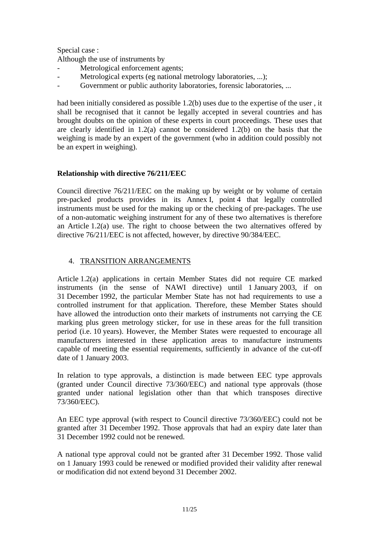Special case :

Although the use of instruments by

- Metrological enforcement agents;
- Metrological experts (eg national metrology laboratories, ...);
- Government or public authority laboratories, forensic laboratories, ...

had been initially considered as possible 1.2(b) uses due to the expertise of the user , it shall be recognised that it cannot be legally accepted in several countries and has brought doubts on the opinion of these experts in court proceedings. These uses that are clearly identified in 1.2(a) cannot be considered 1.2(b) on the basis that the weighing is made by an expert of the government (who in addition could possibly not be an expert in weighing).

## **Relationship with directive 76/211/EEC**

Council directive 76/211/EEC on the making up by weight or by volume of certain pre-packed products provides in its Annex I, point 4 that legally controlled instruments must be used for the making up or the checking of pre-packages. The use of a non-automatic weighing instrument for any of these two alternatives is therefore an Article 1.2(a) use. The right to choose between the two alternatives offered by directive 76/211/EEC is not affected, however, by directive 90/384/EEC.

## 4. TRANSITION ARRANGEMENTS

Article 1.2(a) applications in certain Member States did not require CE marked instruments (in the sense of NAWI directive) until 1 January 2003, if on 31 December 1992, the particular Member State has not had requirements to use a controlled instrument for that application. Therefore, these Member States should have allowed the introduction onto their markets of instruments not carrying the CE marking plus green metrology sticker, for use in these areas for the full transition period (i.e. 10 years). However, the Member States were requested to encourage all manufacturers interested in these application areas to manufacture instruments capable of meeting the essential requirements, sufficiently in advance of the cut-off date of 1 January 2003.

In relation to type approvals, a distinction is made between EEC type approvals (granted under Council directive 73/360/EEC) and national type approvals (those granted under national legislation other than that which transposes directive 73/360/EEC).

An EEC type approval (with respect to Council directive 73/360/EEC) could not be granted after 31 December 1992. Those approvals that had an expiry date later than 31 December 1992 could not be renewed.

A national type approval could not be granted after 31 December 1992. Those valid on 1 January 1993 could be renewed or modified provided their validity after renewal or modification did not extend beyond 31 December 2002.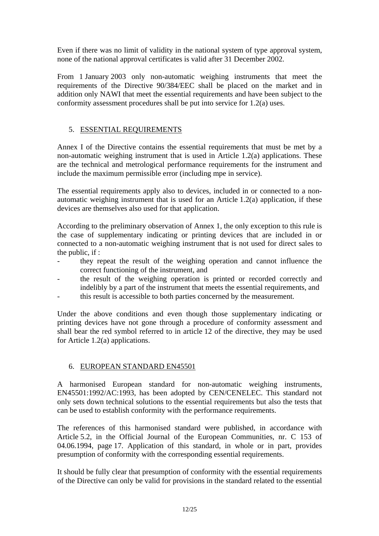Even if there was no limit of validity in the national system of type approval system, none of the national approval certificates is valid after 31 December 2002.

From 1 January 2003 only non-automatic weighing instruments that meet the requirements of the Directive 90/384/EEC shall be placed on the market and in addition only NAWI that meet the essential requirements and have been subject to the conformity assessment procedures shall be put into service for 1.2(a) uses.

# 5. ESSENTIAL REQUIREMENTS

Annex I of the Directive contains the essential requirements that must be met by a non-automatic weighing instrument that is used in Article 1.2(a) applications. These are the technical and metrological performance requirements for the instrument and include the maximum permissible error (including mpe in service).

The essential requirements apply also to devices, included in or connected to a nonautomatic weighing instrument that is used for an Article 1.2(a) application, if these devices are themselves also used for that application.

According to the preliminary observation of Annex 1, the only exception to this rule is the case of supplementary indicating or printing devices that are included in or connected to a non-automatic weighing instrument that is not used for direct sales to the public, if :

- they repeat the result of the weighing operation and cannot influence the correct functioning of the instrument, and
- the result of the weighing operation is printed or recorded correctly and indelibly by a part of the instrument that meets the essential requirements, and this result is accessible to both parties concerned by the measurement.

Under the above conditions and even though those supplementary indicating or printing devices have not gone through a procedure of conformity assessment and shall bear the red symbol referred to in article 12 of the directive, they may be used for Article 1.2(a) applications.

# 6. EUROPEAN STANDARD EN45501

A harmonised European standard for non-automatic weighing instruments, EN45501:1992/AC:1993, has been adopted by CEN/CENELEC. This standard not only sets down technical solutions to the essential requirements but also the tests that can be used to establish conformity with the performance requirements.

The references of this harmonised standard were published, in accordance with Article 5.2, in the Official Journal of the European Communities, nr. C 153 of 04.06.1994, page 17. Application of this standard, in whole or in part, provides presumption of conformity with the corresponding essential requirements.

It should be fully clear that presumption of conformity with the essential requirements of the Directive can only be valid for provisions in the standard related to the essential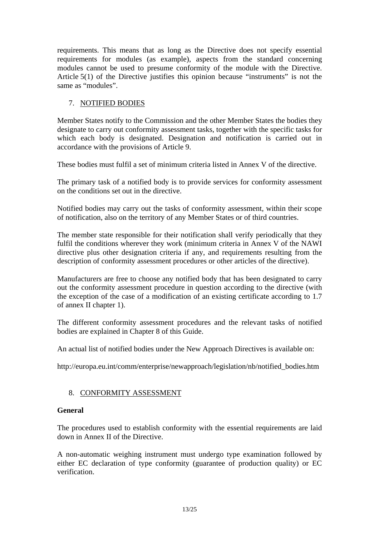requirements. This means that as long as the Directive does not specify essential requirements for modules (as example), aspects from the standard concerning modules cannot be used to presume conformity of the module with the Directive. Article 5(1) of the Directive justifies this opinion because "instruments" is not the same as "modules".

# 7. NOTIFIED BODIES

Member States notify to the Commission and the other Member States the bodies they designate to carry out conformity assessment tasks, together with the specific tasks for which each body is designated. Designation and notification is carried out in accordance with the provisions of Article 9.

These bodies must fulfil a set of minimum criteria listed in Annex V of the directive.

The primary task of a notified body is to provide services for conformity assessment on the conditions set out in the directive.

Notified bodies may carry out the tasks of conformity assessment, within their scope of notification, also on the territory of any Member States or of third countries.

The member state responsible for their notification shall verify periodically that they fulfil the conditions wherever they work (minimum criteria in Annex V of the NAWI directive plus other designation criteria if any, and requirements resulting from the description of conformity assessment procedures or other articles of the directive).

Manufacturers are free to choose any notified body that has been designated to carry out the conformity assessment procedure in question according to the directive (with the exception of the case of a modification of an existing certificate according to 1.7 of annex II chapter 1).

The different conformity assessment procedures and the relevant tasks of notified bodies are explained in Chapter 8 of this Guide.

An actual list of notified bodies under the New Approach Directives is available on:

http://europa.eu.int/comm/enterprise/newapproach/legislation/nb/notified\_bodies.htm

# 8. CONFORMITY ASSESSMENT

#### **General**

The procedures used to establish conformity with the essential requirements are laid down in Annex II of the Directive.

A non-automatic weighing instrument must undergo type examination followed by either EC declaration of type conformity (guarantee of production quality) or EC verification.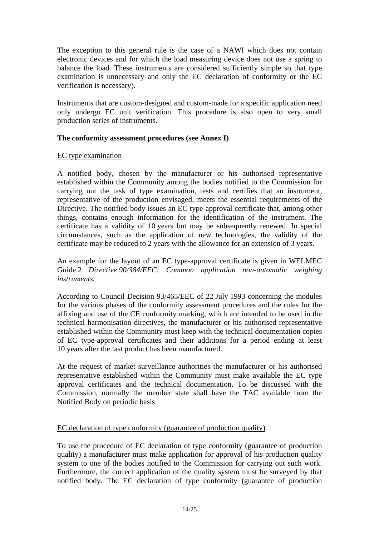The exception to this general rule is the case of a NAWI which does not contain electronic devices and for which the load measuring device does not use a spring to balance the load. These instruments are considered sufficiently simple so that type examination is unnecessary and only the EC declaration of conformity or the EC verification is necessary).

Instruments that are custom-designed and custom-made for a specific application need only undergo EC unit verification. This procedure is also open to very small production series of instruments.

## **The conformity assessment procedures (see Annex I)**

## EC type examination

A notified body, chosen by the manufacturer or his authorised representative established within the Community among the bodies notified to the Commission for carrying out the task of type examination, tests and certifies that an instrument, representative of the production envisaged, meets the essential requirements of the Directive. The notified body issues an EC type-approval certificate that, among other things, contains enough information for the identification of the instrument. The certificate has a validity of 10 years but may be subsequently renewed. In special circumstances, such as the application of new technologies, the validity of the certificate may be reduced to 2 years with the allowance for an extension of 3 years.

An example for the layout of an EC type-approval certificate is given in WELMEC Guide 2 *Directive 90/384/EEC: Common application non-automatic weighing instruments.*

According to Council Decision 93/465/EEC of 22 July 1993 concerning the modules for the various phases of the conformity assessment procedures and the rules for the affixing and use of the CE conformity marking, which are intended to be used in the technical harmonisation directives, the manufacturer or his authorised representative established within the Community must keep with the technical documentation copies of EC type-approval certificates and their additions for a period ending at least 10 years after the last product has been manufactured.

At the request of market surveillance authorities the manufacturer or his authorised representative established within the Community must make available the EC type approval certificates and the technical documentation. To be discussed with the Commission, normally the member state shall have the TAC available from the Notified Body on periodic basis

# EC declaration of type conformity (guarantee of production quality)

To use the procedure of EC declaration of type conformity (guarantee of production quality) a manufacturer must make application for approval of his production quality system to one of the bodies notified to the Commission for carrying out such work. Furthermore, the correct application of the quality system must be surveyed by that notified body. The EC declaration of type conformity (guarantee of production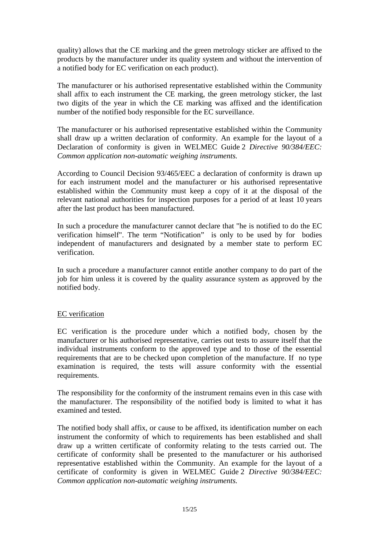quality) allows that the CE marking and the green metrology sticker are affixed to the products by the manufacturer under its quality system and without the intervention of a notified body for EC verification on each product).

The manufacturer or his authorised representative established within the Community shall affix to each instrument the CE marking, the green metrology sticker, the last two digits of the year in which the CE marking was affixed and the identification number of the notified body responsible for the EC surveillance.

The manufacturer or his authorised representative established within the Community shall draw up a written declaration of conformity. An example for the layout of a Declaration of conformity is given in WELMEC Guide 2 *Directive 90/384/EEC: Common application non-automatic weighing instruments.*

According to Council Decision 93/465/EEC a declaration of conformity is drawn up for each instrument model and the manufacturer or his authorised representative established within the Community must keep a copy of it at the disposal of the relevant national authorities for inspection purposes for a period of at least 10 years after the last product has been manufactured.

In such a procedure the manufacturer cannot declare that "he is notified to do the EC verification himself". The term "Notification" is only to be used by for bodies independent of manufacturers and designated by a member state to perform EC verification.

In such a procedure a manufacturer cannot entitle another company to do part of the job for him unless it is covered by the quality assurance system as approved by the notified body.

# EC verification

EC verification is the procedure under which a notified body, chosen by the manufacturer or his authorised representative, carries out tests to assure itself that the individual instruments conform to the approved type and to those of the essential requirements that are to be checked upon completion of the manufacture. If no type examination is required, the tests will assure conformity with the essential requirements.

The responsibility for the conformity of the instrument remains even in this case with the manufacturer. The responsibility of the notified body is limited to what it has examined and tested.

The notified body shall affix, or cause to be affixed, its identification number on each instrument the conformity of which to requirements has been established and shall draw up a written certificate of conformity relating to the tests carried out. The certificate of conformity shall be presented to the manufacturer or his authorised representative established within the Community. An example for the layout of a certificate of conformity is given in WELMEC Guide 2 *Directive 90/384/EEC: Common application non-automatic weighing instruments.*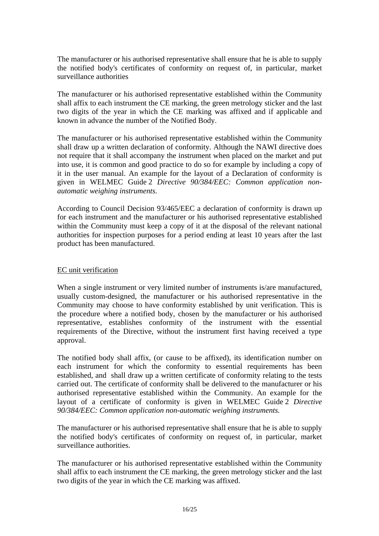The manufacturer or his authorised representative shall ensure that he is able to supply the notified body's certificates of conformity on request of, in particular, market surveillance authorities

The manufacturer or his authorised representative established within the Community shall affix to each instrument the CE marking, the green metrology sticker and the last two digits of the year in which the CE marking was affixed and if applicable and known in advance the number of the Notified Body.

The manufacturer or his authorised representative established within the Community shall draw up a written declaration of conformity. Although the NAWI directive does not require that it shall accompany the instrument when placed on the market and put into use, it is common and good practice to do so for example by including a copy of it in the user manual. An example for the layout of a Declaration of conformity is given in WELMEC Guide 2 *Directive 90/384/EEC: Common application nonautomatic weighing instruments.*

According to Council Decision 93/465/EEC a declaration of conformity is drawn up for each instrument and the manufacturer or his authorised representative established within the Community must keep a copy of it at the disposal of the relevant national authorities for inspection purposes for a period ending at least 10 years after the last product has been manufactured.

#### EC unit verification

When a single instrument or very limited number of instruments is/are manufactured, usually custom-designed, the manufacturer or his authorised representative in the Community may choose to have conformity established by unit verification. This is the procedure where a notified body, chosen by the manufacturer or his authorised representative, establishes conformity of the instrument with the essential requirements of the Directive, without the instrument first having received a type approval.

The notified body shall affix, (or cause to be affixed), its identification number on each instrument for which the conformity to essential requirements has been established, and shall draw up a written certificate of conformity relating to the tests carried out. The certificate of conformity shall be delivered to the manufacturer or his authorised representative established within the Community. An example for the layout of a certificate of conformity is given in WELMEC Guide 2 *Directive 90/384/EEC: Common application non-automatic weighing instruments.*

The manufacturer or his authorised representative shall ensure that he is able to supply the notified body's certificates of conformity on request of, in particular, market surveillance authorities.

The manufacturer or his authorised representative established within the Community shall affix to each instrument the CE marking, the green metrology sticker and the last two digits of the year in which the CE marking was affixed.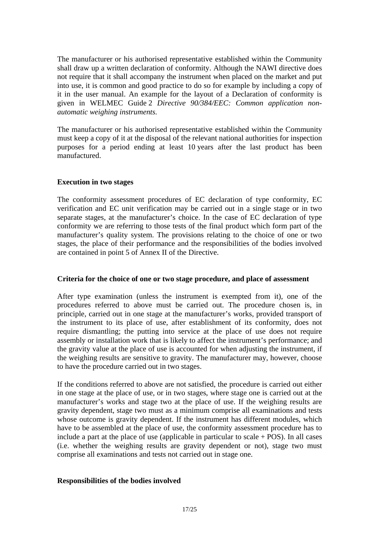The manufacturer or his authorised representative established within the Community shall draw up a written declaration of conformity. Although the NAWI directive does not require that it shall accompany the instrument when placed on the market and put into use, it is common and good practice to do so for example by including a copy of it in the user manual. An example for the layout of a Declaration of conformity is given in WELMEC Guide 2 *Directive 90/384/EEC: Common application nonautomatic weighing instruments.*

The manufacturer or his authorised representative established within the Community must keep a copy of it at the disposal of the relevant national authorities for inspection purposes for a period ending at least 10 years after the last product has been manufactured.

## **Execution in two stages**

The conformity assessment procedures of EC declaration of type conformity, EC verification and EC unit verification may be carried out in a single stage or in two separate stages, at the manufacturer's choice. In the case of EC declaration of type conformity we are referring to those tests of the final product which form part of the manufacturer's quality system. The provisions relating to the choice of one or two stages, the place of their performance and the responsibilities of the bodies involved are contained in point 5 of Annex II of the Directive.

#### **Criteria for the choice of one or two stage procedure, and place of assessment**

After type examination (unless the instrument is exempted from it), one of the procedures referred to above must be carried out. The procedure chosen is, in principle, carried out in one stage at the manufacturer's works, provided transport of the instrument to its place of use, after establishment of its conformity, does not require dismantling; the putting into service at the place of use does not require assembly or installation work that is likely to affect the instrument's performance; and the gravity value at the place of use is accounted for when adjusting the instrument, if the weighing results are sensitive to gravity. The manufacturer may, however, choose to have the procedure carried out in two stages.

If the conditions referred to above are not satisfied, the procedure is carried out either in one stage at the place of use, or in two stages, where stage one is carried out at the manufacturer's works and stage two at the place of use. If the weighing results are gravity dependent, stage two must as a minimum comprise all examinations and tests whose outcome is gravity dependent. If the instrument has different modules, which have to be assembled at the place of use, the conformity assessment procedure has to include a part at the place of use (applicable in particular to scale  $+$  POS). In all cases (i.e. whether the weighing results are gravity dependent or not), stage two must comprise all examinations and tests not carried out in stage one.

# **Responsibilities of the bodies involved**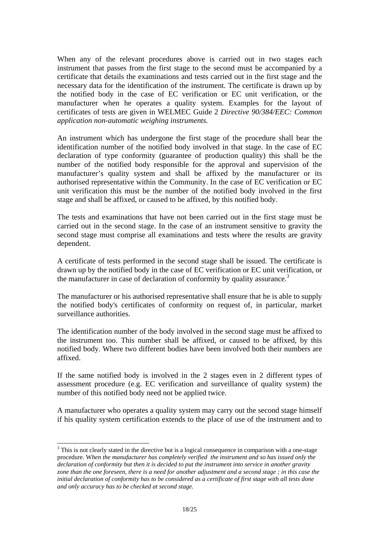When any of the relevant procedures above is carried out in two stages each instrument that passes from the first stage to the second must be accompanied by a certificate that details the examinations and tests carried out in the first stage and the necessary data for the identification of the instrument. The certificate is drawn up by the notified body in the case of EC verification or EC unit verification, or the manufacturer when he operates a quality system. Examples for the layout of certificates of tests are given in WELMEC Guide 2 *Directive 90/384/EEC: Common application non-automatic weighing instruments.*

An instrument which has undergone the first stage of the procedure shall bear the identification number of the notified body involved in that stage. In the case of EC declaration of type conformity (guarantee of production quality) this shall be the number of the notified body responsible for the approval and supervision of the manufacturer's quality system and shall be affixed by the manufacturer or its authorised representative within the Community. In the case of EC verification or EC unit verification this must be the number of the notified body involved in the first stage and shall be affixed, or caused to be affixed, by this notified body.

The tests and examinations that have not been carried out in the first stage must be carried out in the second stage. In the case of an instrument sensitive to gravity the second stage must comprise all examinations and tests where the results are gravity dependent.

A certificate of tests performed in the second stage shall be issued. The certificate is drawn up by the notified body in the case of EC verification or EC unit verification, or the manufacturer in case of declaration of conformity by quality assurance.<sup>3</sup>

The manufacturer or his authorised representative shall ensure that he is able to supply the notified body's certificates of conformity on request of, in particular, market surveillance authorities.

The identification number of the body involved in the second stage must be affixed to the instrument too. This number shall be affixed, or caused to be affixed, by this notified body. Where two different bodies have been involved both their numbers are affixed.

If the same notified body is involved in the 2 stages even in 2 different types of assessment procedure (e.g. EC verification and surveillance of quality system) the number of this notified body need not be applied twice.

A manufacturer who operates a quality system may carry out the second stage himself if his quality system certification extends to the place of use of the instrument and to

l

 $3$  This is not clearly stated in the directive but is a logical consequence in comparison with a one-stage procedure. W*hen the manufacturer has completely verified the instrument and so has issued only the declaration of conformity but then it is decided to put the instrument into service in another gravity zone than the one foreseen, there is a need for another adjustment and a second stage ; in this case the initial declaration of conformity has to be considered as a certificate of first stage with all tests done and only accuracy has to be checked at second stage.*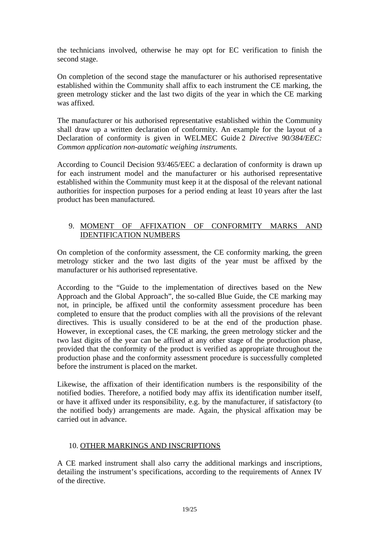the technicians involved, otherwise he may opt for EC verification to finish the second stage.

On completion of the second stage the manufacturer or his authorised representative established within the Community shall affix to each instrument the CE marking, the green metrology sticker and the last two digits of the year in which the CE marking was affixed.

The manufacturer or his authorised representative established within the Community shall draw up a written declaration of conformity. An example for the layout of a Declaration of conformity is given in WELMEC Guide 2 *Directive 90/384/EEC: Common application non-automatic weighing instruments.* 

According to Council Decision 93/465/EEC a declaration of conformity is drawn up for each instrument model and the manufacturer or his authorised representative established within the Community must keep it at the disposal of the relevant national authorities for inspection purposes for a period ending at least 10 years after the last product has been manufactured.

# 9. MOMENT OF AFFIXATION OF CONFORMITY MARKS AND IDENTIFICATION NUMBERS

On completion of the conformity assessment, the CE conformity marking, the green metrology sticker and the two last digits of the year must be affixed by the manufacturer or his authorised representative.

According to the "Guide to the implementation of directives based on the New Approach and the Global Approach", the so-called Blue Guide, the CE marking may not, in principle, be affixed until the conformity assessment procedure has been completed to ensure that the product complies with all the provisions of the relevant directives. This is usually considered to be at the end of the production phase. However, in exceptional cases, the CE marking, the green metrology sticker and the two last digits of the year can be affixed at any other stage of the production phase, provided that the conformity of the product is verified as appropriate throughout the production phase and the conformity assessment procedure is successfully completed before the instrument is placed on the market.

Likewise, the affixation of their identification numbers is the responsibility of the notified bodies. Therefore, a notified body may affix its identification number itself, or have it affixed under its responsibility, e.g. by the manufacturer, if satisfactory (to the notified body) arrangements are made. Again, the physical affixation may be carried out in advance.

#### 10. OTHER MARKINGS AND INSCRIPTIONS

A CE marked instrument shall also carry the additional markings and inscriptions, detailing the instrument's specifications, according to the requirements of Annex IV of the directive.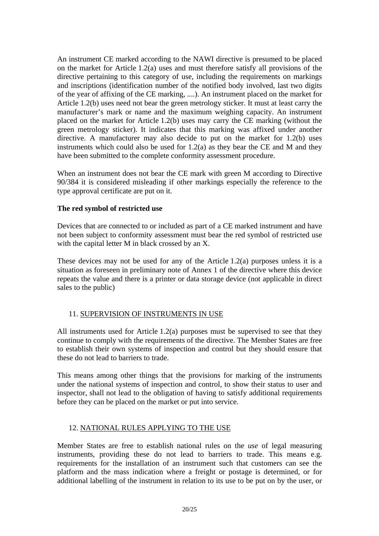An instrument CE marked according to the NAWI directive is presumed to be placed on the market for Article 1.2(a) uses and must therefore satisfy all provisions of the directive pertaining to this category of use, including the requirements on markings and inscriptions (identification number of the notified body involved, last two digits of the year of affixing of the CE marking, ....). An instrument placed on the market for Article 1.2(b) uses need not bear the green metrology sticker. It must at least carry the manufacturer's mark or name and the maximum weighing capacity. An instrument placed on the market for Article 1.2(b) uses may carry the CE marking (without the green metrology sticker). It indicates that this marking was affixed under another directive. A manufacturer may also decide to put on the market for 1.2(b) uses instruments which could also be used for 1.2(a) as they bear the CE and M and they have been submitted to the complete conformity assessment procedure.

When an instrument does not bear the CE mark with green M according to Directive 90/384 it is considered misleading if other markings especially the reference to the type approval certificate are put on it.

## **The red symbol of restricted use**

Devices that are connected to or included as part of a CE marked instrument and have not been subject to conformity assessment must bear the red symbol of restricted use with the capital letter M in black crossed by an X.

These devices may not be used for any of the Article 1.2(a) purposes unless it is a situation as foreseen in preliminary note of Annex 1 of the directive where this device repeats the value and there is a printer or data storage device (not applicable in direct sales to the public)

#### 11. SUPERVISION OF INSTRUMENTS IN USE

All instruments used for Article 1.2(a) purposes must be supervised to see that they continue to comply with the requirements of the directive. The Member States are free to establish their own systems of inspection and control but they should ensure that these do not lead to barriers to trade.

This means among other things that the provisions for marking of the instruments under the national systems of inspection and control, to show their status to user and inspector, shall not lead to the obligation of having to satisfy additional requirements before they can be placed on the market or put into service.

# 12. NATIONAL RULES APPLYING TO THE USE

Member States are free to establish national rules on the *use* of legal measuring instruments, providing these do not lead to barriers to trade. This means e.g. requirements for the installation of an instrument such that customers can see the platform and the mass indication where a freight or postage is determined, or for additional labelling of the instrument in relation to its use to be put on by the user, or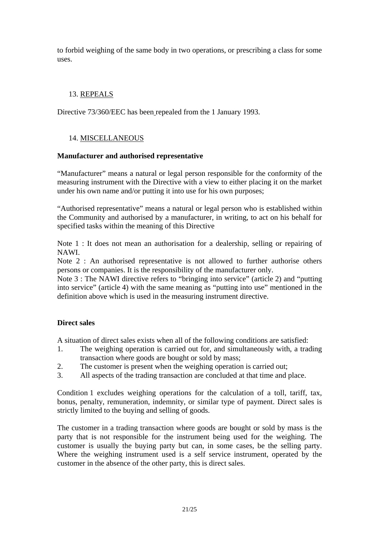to forbid weighing of the same body in two operations, or prescribing a class for some uses.

# 13. REPEALS

Directive 73/360/EEC has been repealed from the 1 January 1993.

# 14. MISCELLANEOUS

#### **Manufacturer and authorised representative**

"Manufacturer" means a natural or legal person responsible for the conformity of the measuring instrument with the Directive with a view to either placing it on the market under his own name and/or putting it into use for his own purposes;

"Authorised representative" means a natural or legal person who is established within the Community and authorised by a manufacturer, in writing, to act on his behalf for specified tasks within the meaning of this Directive

Note 1 : It does not mean an authorisation for a dealership, selling or repairing of NAWI.

Note 2 : An authorised representative is not allowed to further authorise others persons or companies. It is the responsibility of the manufacturer only.

Note 3 : The NAWI directive refers to "bringing into service" (article 2) and "putting into service" (article 4) with the same meaning as "putting into use" mentioned in the definition above which is used in the measuring instrument directive.

# **Direct sales**

A situation of direct sales exists when all of the following conditions are satisfied:

- 1. The weighing operation is carried out for, and simultaneously with, a trading transaction where goods are bought or sold by mass;
- 2. The customer is present when the weighing operation is carried out;
- 3. All aspects of the trading transaction are concluded at that time and place.

Condition 1 excludes weighing operations for the calculation of a toll, tariff, tax, bonus, penalty, remuneration, indemnity, or similar type of payment. Direct sales is strictly limited to the buying and selling of goods.

The customer in a trading transaction where goods are bought or sold by mass is the party that is not responsible for the instrument being used for the weighing. The customer is usually the buying party but can, in some cases, be the selling party. Where the weighing instrument used is a self service instrument, operated by the customer in the absence of the other party, this is direct sales.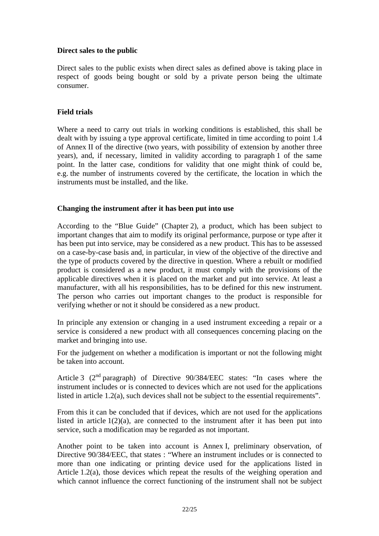# **Direct sales to the public**

Direct sales to the public exists when direct sales as defined above is taking place in respect of goods being bought or sold by a private person being the ultimate consumer.

### **Field trials**

Where a need to carry out trials in working conditions is established, this shall be dealt with by issuing a type approval certificate, limited in time according to point 1.4 of Annex II of the directive (two years, with possibility of extension by another three years), and, if necessary, limited in validity according to paragraph 1 of the same point. In the latter case, conditions for validity that one might think of could be, e.g. the number of instruments covered by the certificate, the location in which the instruments must be installed, and the like.

#### **Changing the instrument after it has been put into use**

According to the "Blue Guide" (Chapter 2), a product, which has been subject to important changes that aim to modify its original performance, purpose or type after it has been put into service, may be considered as a new product. This has to be assessed on a case-by-case basis and, in particular, in view of the objective of the directive and the type of products covered by the directive in question. Where a rebuilt or modified product is considered as a new product, it must comply with the provisions of the applicable directives when it is placed on the market and put into service. At least a manufacturer, with all his responsibilities, has to be defined for this new instrument. The person who carries out important changes to the product is responsible for verifying whether or not it should be considered as a new product.

In principle any extension or changing in a used instrument exceeding a repair or a service is considered a new product with all consequences concerning placing on the market and bringing into use.

For the judgement on whether a modification is important or not the following might be taken into account.

Article 3 (2nd paragraph) of Directive 90/384/EEC states: "In cases where the instrument includes or is connected to devices which are not used for the applications listed in article 1.2(a), such devices shall not be subject to the essential requirements".

From this it can be concluded that if devices, which are not used for the applications listed in article  $1(2)(a)$ , are connected to the instrument after it has been put into service, such a modification may be regarded as not important.

Another point to be taken into account is Annex I, preliminary observation, of Directive 90/384/EEC, that states : "Where an instrument includes or is connected to more than one indicating or printing device used for the applications listed in Article 1.2(a), those devices which repeat the results of the weighing operation and which cannot influence the correct functioning of the instrument shall not be subject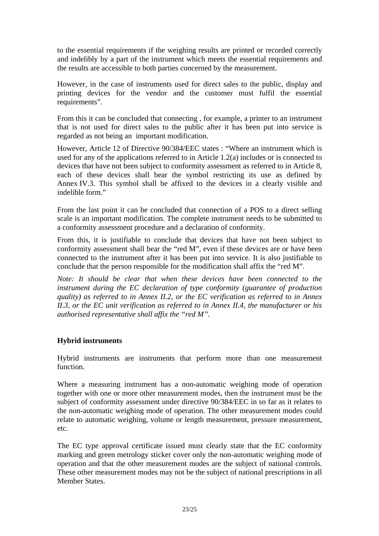to the essential requirements if the weighing results are printed or recorded correctly and indelibly by a part of the instrument which meets the essential requirements and the results are accessible to both parties concerned by the measurement.

However, in the case of instruments used for direct sales to the public, display and printing devices for the vendor and the customer must fulfil the essential requirements".

From this it can be concluded that connecting , for example, a printer to an instrument that is not used for direct sales to the public after it has been put into service is regarded as not being an important modification.

However, Article 12 of Directive 90/384/EEC states : "Where an instrument which is used for any of the applications referred to in Article 1.2(a) includes or is connected to devices that have not been subject to conformity assessment as referred to in Article 8, each of these devices shall bear the symbol restricting its use as defined by Annex IV.3. This symbol shall be affixed to the devices in a clearly visible and indelible form."

From the last point it can be concluded that connection of a POS to a direct selling scale is an important modification. The complete instrument needs to be submitted to a conformity assessment procedure and a declaration of conformity.

From this, it is justifiable to conclude that devices that have not been subject to conformity assessment shall bear the "red M", even if these devices are or have been connected to the instrument after it has been put into service. It is also justifiable to conclude that the person responsible for the modification shall affix the "red M".

*Note: It should be clear that when these devices have been connected to the instrument during the EC declaration of type conformity (guarantee of production quality) as referred to in Annex II.2, or the EC verification as referred to in Annex II.3, or the EC unit verification as referred to in Annex II.4, the manufacturer or his authorised representative shall affix the "red M".* 

# **Hybrid instruments**

Hybrid instruments are instruments that perform more than one measurement function.

Where a measuring instrument has a non-automatic weighing mode of operation together with one or more other measurement modes, then the instrument must be the subject of conformity assessment under directive 90/384/EEC in so far as it relates to the non-automatic weighing mode of operation. The other measurement modes could relate to automatic weighing, volume or length measurement, pressure measurement, etc.

The EC type approval certificate issued must clearly state that the EC conformity marking and green metrology sticker cover only the non-automatic weighing mode of operation and that the other measurement modes are the subject of national controls. These other measurement modes may not be the subject of national prescriptions in all Member States.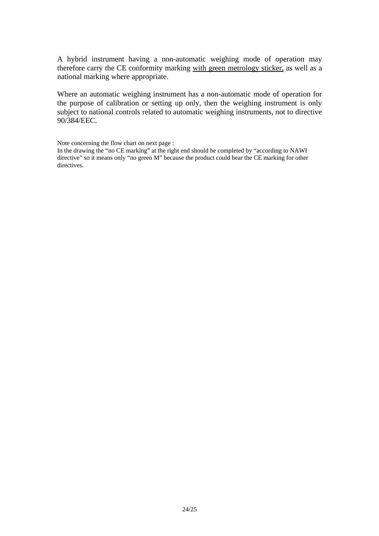A hybrid instrument having a non-automatic weighing mode of operation may therefore carry the CE conformity marking with green metrology sticker, as well as a national marking where appropriate.

Where an automatic weighing instrument has a non-automatic mode of operation for the purpose of calibration or setting up only, then the weighing instrument is only subject to national controls related to automatic weighing instruments, not to directive 90/384/EEC.

Note concerning the flow chart on next page :

In the drawing the "no CE marking" at the right end should be completed by "according to NAWI directive" so it means only "no green M" because the product could bear the CE marking for other directives.